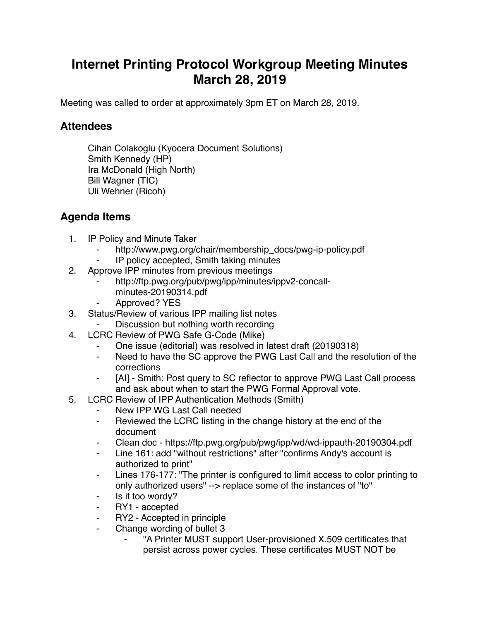## **Internet Printing Protocol Workgroup Meeting Minutes March 28, 2019**

Meeting was called to order at approximately 3pm ET on March 28, 2019.

## **Attendees**

Cihan Colakoglu (Kyocera Document Solutions) Smith Kennedy (HP) Ira McDonald (High North) Bill Wagner (TIC) Uli Wehner (Ricoh)

## **Agenda Items**

- 1. IP Policy and Minute Taker
	- http://www.pwg.org/chair/membership\_docs/pwg-ip-policy.pdf
	- IP policy accepted, Smith taking minutes
- 2. Approve IPP minutes from previous meetings
	- http://ftp.pwg.org/pub/pwg/ipp/minutes/ippv2-concallminutes-20190314.pdf
	- Approved? YES
- 3. Status/Review of various IPP mailing list notes
	- Discussion but nothing worth recording
- 4. LCRC Review of PWG Safe G-Code (Mike)
	- One issue (editorial) was resolved in latest draft (20190318)
	- ⁃ Need to have the SC approve the PWG Last Call and the resolution of the corrections
	- [AI] Smith: Post query to SC reflector to approve PWG Last Call process and ask about when to start the PWG Formal Approval vote.
- 5. LCRC Review of IPP Authentication Methods (Smith)
	- New IPP WG Last Call needed
	- Reviewed the LCRC listing in the change history at the end of the document
	- ⁃ Clean doc https://ftp.pwg.org/pub/pwg/ipp/wd/wd-ippauth-20190304.pdf
	- Line 161: add "without restrictions" after "confirms Andy's account is authorized to print"
	- Lines 176-177: "The printer is configured to limit access to color printing to only authorized users" --> replace some of the instances of "to"
	- Is it too wordy?
	- ⁃ RY1 accepted
	- ⁃ RY2 Accepted in principle
	- ⁃ Change wording of bullet 3
		- "A Printer MUST support User-provisioned X.509 certificates that persist across power cycles. These certificates MUST NOT be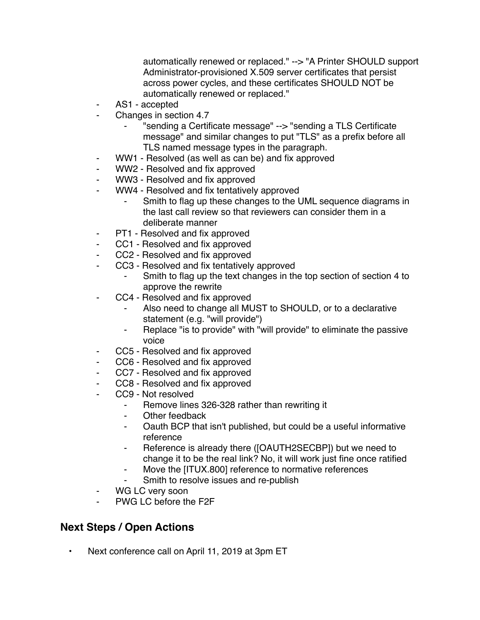automatically renewed or replaced." --> "A Printer SHOULD support Administrator-provisioned X.509 server certificates that persist across power cycles, and these certificates SHOULD NOT be automatically renewed or replaced."

- ⁃ AS1 accepted
- ⁃ Changes in section 4.7
	- ⁃ "sending a Certificate message" --> "sending a TLS Certificate message" and similar changes to put "TLS" as a prefix before all TLS named message types in the paragraph.
- ⁃ WW1 Resolved (as well as can be) and fix approved
- WW2 Resolved and fix approved
- ⁃ WW3 Resolved and fix approved
- WW4 Resolved and fix tentatively approved
	- Smith to flag up these changes to the UML sequence diagrams in the last call review so that reviewers can consider them in a deliberate manner
- PT1 Resolved and fix approved
- CC1 Resolved and fix approved
- CC2 Resolved and fix approved
- CC3 Resolved and fix tentatively approved
	- Smith to flag up the text changes in the top section of section 4 to approve the rewrite
- CC4 Resolved and fix approved
	- Also need to change all MUST to SHOULD, or to a declarative statement (e.g. "will provide")
	- ⁃ Replace "is to provide" with "will provide" to eliminate the passive voice
- CC5 Resolved and fix approved
- CC6 Resolved and fix approved
- CC7 Resolved and fix approved
- CC8 Resolved and fix approved
- CC9 Not resolved
	- Remove lines 326-328 rather than rewriting it
	- ⁃ Other feedback
	- Oauth BCP that isn't published, but could be a useful informative reference
	- ⁃ Reference is already there ([OAUTH2SECBP]) but we need to change it to be the real link? No, it will work just fine once ratified
	- Move the [ITUX.800] reference to normative references
	- Smith to resolve issues and re-publish
- WG LC very soon
- ⁃ PWG LC before the F2F

## **Next Steps / Open Actions**

• Next conference call on April 11, 2019 at 3pm ET